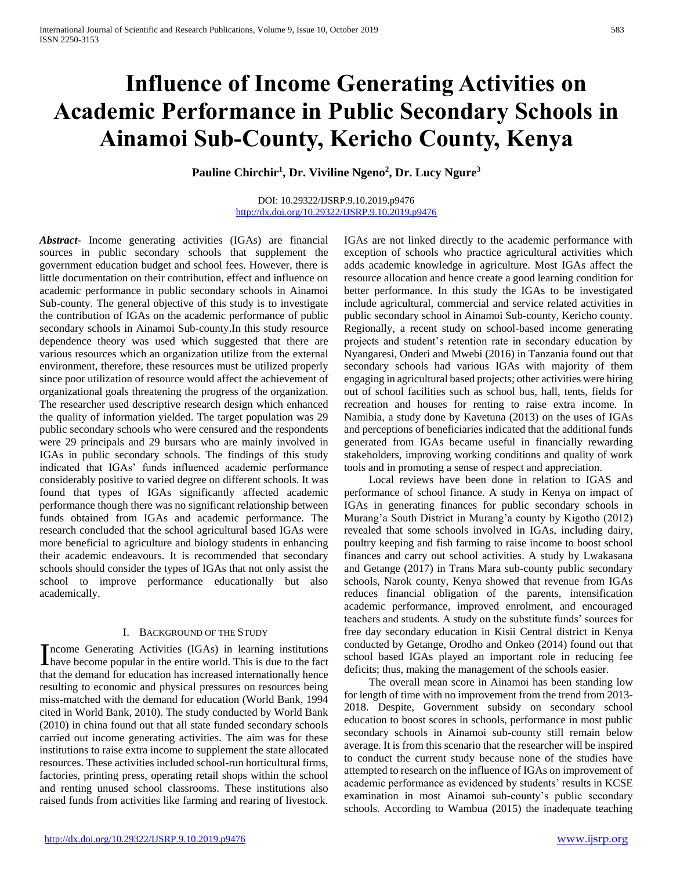# **Influence of Income Generating Activities on Academic Performance in Public Secondary Schools in Ainamoi Sub-County, Kericho County, Kenya**

**Pauline Chirchir<sup>1</sup> , Dr. Viviline Ngeno<sup>2</sup> , Dr. Lucy Ngure<sup>3</sup>**

#### DOI: 10.29322/IJSRP.9.10.2019.p9476 <http://dx.doi.org/10.29322/IJSRP.9.10.2019.p9476>

*Abstract***-** Income generating activities (IGAs) are financial sources in public secondary schools that supplement the government education budget and school fees. However, there is little documentation on their contribution, effect and influence on academic performance in public secondary schools in Ainamoi Sub-county. The general objective of this study is to investigate the contribution of IGAs on the academic performance of public secondary schools in Ainamoi Sub-county.In this study resource dependence theory was used which suggested that there are various resources which an organization utilize from the external environment, therefore, these resources must be utilized properly since poor utilization of resource would affect the achievement of organizational goals threatening the progress of the organization. The researcher used descriptive research design which enhanced the quality of information yielded. The target population was 29 public secondary schools who were censured and the respondents were 29 principals and 29 bursars who are mainly involved in IGAs in public secondary schools. The findings of this study indicated that IGAs' funds influenced academic performance considerably positive to varied degree on different schools. It was found that types of IGAs significantly affected academic performance though there was no significant relationship between funds obtained from IGAs and academic performance. The research concluded that the school agricultural based IGAs were more beneficial to agriculture and biology students in enhancing their academic endeavours. It is recommended that secondary schools should consider the types of IGAs that not only assist the school to improve performance educationally but also academically.

## I. BACKGROUND OF THE STUDY

ncome Generating Activities (IGAs) in learning institutions Income Generating Activities (IGAs) in learning institutions<br>have become popular in the entire world. This is due to the fact that the demand for education has increased internationally hence resulting to economic and physical pressures on resources being miss-matched with the demand for education (World Bank, 1994 cited in World Bank, 2010). The study conducted by World Bank (2010) in china found out that all state funded secondary schools carried out income generating activities. The aim was for these institutions to raise extra income to supplement the state allocated resources. These activities included school-run horticultural firms, factories, printing press, operating retail shops within the school and renting unused school classrooms. These institutions also raised funds from activities like farming and rearing of livestock.

IGAs are not linked directly to the academic performance with exception of schools who practice agricultural activities which adds academic knowledge in agriculture. Most IGAs affect the resource allocation and hence create a good learning condition for better performance. In this study the IGAs to be investigated include agricultural, commercial and service related activities in public secondary school in Ainamoi Sub-county, Kericho county. Regionally, a recent study on school-based income generating projects and student's retention rate in secondary education by Nyangaresi, Onderi and Mwebi (2016) in Tanzania found out that secondary schools had various IGAs with majority of them engaging in agricultural based projects; other activities were hiring out of school facilities such as school bus, hall, tents, fields for recreation and houses for renting to raise extra income. In Namibia, a study done by Kavetuna (2013) on the uses of IGAs and perceptions of beneficiaries indicated that the additional funds generated from IGAs became useful in financially rewarding stakeholders, improving working conditions and quality of work tools and in promoting a sense of respect and appreciation.

 Local reviews have been done in relation to IGAS and performance of school finance. A study in Kenya on impact of IGAs in generating finances for public secondary schools in Murang'a South District in Murang'a county by Kigotho (2012) revealed that some schools involved in IGAs, including dairy, poultry keeping and fish farming to raise income to boost school finances and carry out school activities. A study by Lwakasana and Getange (2017) in Trans Mara sub-county public secondary schools, Narok county, Kenya showed that revenue from IGAs reduces financial obligation of the parents, intensification academic performance, improved enrolment, and encouraged teachers and students. A study on the substitute funds' sources for free day secondary education in Kisii Central district in Kenya conducted by Getange, Orodho and Onkeo (2014) found out that school based IGAs played an important role in reducing fee deficits; thus, making the management of the schools easier.

 The overall mean score in Ainamoi has been standing low for length of time with no improvement from the trend from 2013- 2018. Despite, Government subsidy on secondary school education to boost scores in schools, performance in most public secondary schools in Ainamoi sub-county still remain below average. It is from this scenario that the researcher will be inspired to conduct the current study because none of the studies have attempted to research on the influence of IGAs on improvement of academic performance as evidenced by students' results in KCSE examination in most Ainamoi sub-county's public secondary schools. According to Wambua (2015) the inadequate teaching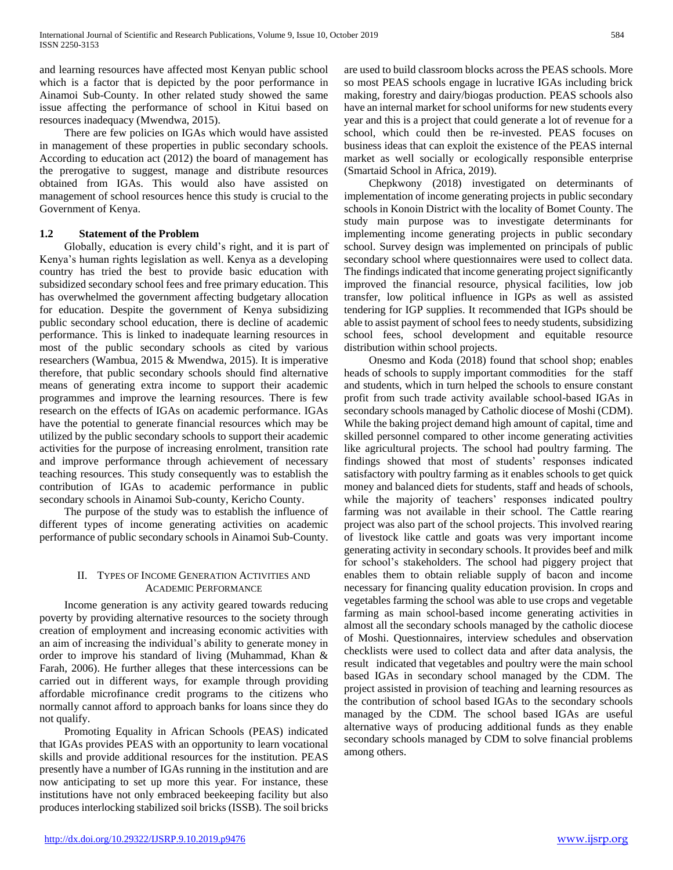and learning resources have affected most Kenyan public school which is a factor that is depicted by the poor performance in Ainamoi Sub-County. In other related study showed the same issue affecting the performance of school in Kitui based on resources inadequacy (Mwendwa, 2015).

 There are few policies on IGAs which would have assisted in management of these properties in public secondary schools. According to education act (2012) the board of management has the prerogative to suggest, manage and distribute resources obtained from IGAs. This would also have assisted on management of school resources hence this study is crucial to the Government of Kenya.

## **1.2 Statement of the Problem**

 Globally, education is every child's right, and it is part of Kenya's human rights legislation as well. Kenya as a developing country has tried the best to provide basic education with subsidized secondary school fees and free primary education. This has overwhelmed the government affecting budgetary allocation for education. Despite the government of Kenya subsidizing public secondary school education, there is decline of academic performance. This is linked to inadequate learning resources in most of the public secondary schools as cited by various researchers (Wambua, 2015 & Mwendwa, 2015). It is imperative therefore, that public secondary schools should find alternative means of generating extra income to support their academic programmes and improve the learning resources. There is few research on the effects of IGAs on academic performance. IGAs have the potential to generate financial resources which may be utilized by the public secondary schools to support their academic activities for the purpose of increasing enrolment, transition rate and improve performance through achievement of necessary teaching resources. This study consequently was to establish the contribution of IGAs to academic performance in public secondary schools in Ainamoi Sub-county, Kericho County.

 The purpose of the study was to establish the influence of different types of income generating activities on academic performance of public secondary schools in Ainamoi Sub-County.

## II. TYPES OF INCOME GENERATION ACTIVITIES AND ACADEMIC PERFORMANCE

 Income generation is any activity geared towards reducing poverty by providing alternative resources to the society through creation of employment and increasing economic activities with an aim of increasing the individual's ability to generate money in order to improve his standard of living (Muhammad, Khan & Farah, 2006). He further alleges that these intercessions can be carried out in different ways, for example through providing affordable microfinance credit programs to the citizens who normally cannot afford to approach banks for loans since they do not qualify.

 Promoting Equality in African Schools (PEAS) indicated that IGAs provides PEAS with an opportunity to learn vocational skills and provide additional resources for the institution. PEAS presently have a number of IGAs running in the institution and are now anticipating to set up more this year. For instance, these institutions have not only embraced beekeeping facility but also produces interlocking stabilized soil bricks (ISSB). The soil bricks are used to build classroom blocks across the PEAS schools. More so most PEAS schools engage in lucrative IGAs including brick making, forestry and dairy/biogas production. PEAS schools also have an internal market for school uniforms for new students every year and this is a project that could generate a lot of revenue for a school, which could then be re-invested. PEAS focuses on business ideas that can exploit the existence of the PEAS internal market as well socially or ecologically responsible enterprise (Smartaid School in Africa, 2019).

 Chepkwony (2018) investigated on determinants of implementation of income generating projects in public secondary schools in Konoin District with the locality of Bomet County. The study main purpose was to investigate determinants for implementing income generating projects in public secondary school. Survey design was implemented on principals of public secondary school where questionnaires were used to collect data. The findings indicated that income generating project significantly improved the financial resource, physical facilities, low job transfer, low political influence in IGPs as well as assisted tendering for IGP supplies. It recommended that IGPs should be able to assist payment of school fees to needy students, subsidizing school fees, school development and equitable resource distribution within school projects.

 Onesmo and Koda (2018) found that school shop; enables heads of schools to supply important commodities for the staff and students, which in turn helped the schools to ensure constant profit from such trade activity available school-based IGAs in secondary schools managed by Catholic diocese of Moshi (CDM). While the baking project demand high amount of capital, time and skilled personnel compared to other income generating activities like agricultural projects. The school had poultry farming. The findings showed that most of students' responses indicated satisfactory with poultry farming as it enables schools to get quick money and balanced diets for students, staff and heads of schools, while the majority of teachers' responses indicated poultry farming was not available in their school. The Cattle rearing project was also part of the school projects. This involved rearing of livestock like cattle and goats was very important income generating activity in secondary schools. It provides beef and milk for school's stakeholders. The school had piggery project that enables them to obtain reliable supply of bacon and income necessary for financing quality education provision. In crops and vegetables farming the school was able to use crops and vegetable farming as main school-based income generating activities in almost all the secondary schools managed by the catholic diocese of Moshi. Questionnaires, interview schedules and observation checklists were used to collect data and after data analysis, the result indicated that vegetables and poultry were the main school based IGAs in secondary school managed by the CDM. The project assisted in provision of teaching and learning resources as the contribution of school based IGAs to the secondary schools managed by the CDM. The school based IGAs are useful alternative ways of producing additional funds as they enable secondary schools managed by CDM to solve financial problems among others.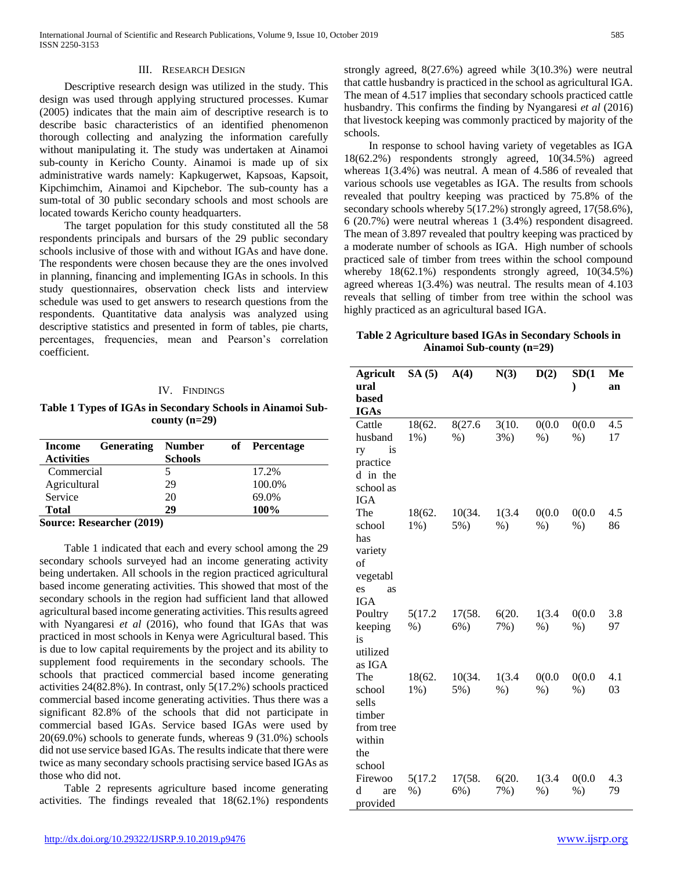#### III. RESEARCH DESIGN

 Descriptive research design was utilized in the study. This design was used through applying structured processes. Kumar (2005) indicates that the main aim of descriptive research is to describe basic characteristics of an identified phenomenon thorough collecting and analyzing the information carefully without manipulating it. The study was undertaken at Ainamoi sub-county in Kericho County. Ainamoi is made up of six administrative wards namely: Kapkugerwet, Kapsoas, Kapsoit, Kipchimchim, Ainamoi and Kipchebor. The sub-county has a sum-total of 30 public secondary schools and most schools are located towards Kericho county headquarters.

 The target population for this study constituted all the 58 respondents principals and bursars of the 29 public secondary schools inclusive of those with and without IGAs and have done. The respondents were chosen because they are the ones involved in planning, financing and implementing IGAs in schools. In this study questionnaires, observation check lists and interview schedule was used to get answers to research questions from the respondents. Quantitative data analysis was analyzed using descriptive statistics and presented in form of tables, pie charts, percentages, frequencies, mean and Pearson's correlation coefficient.

#### IV. FINDINGS

**Table 1 Types of IGAs in Secondary Schools in Ainamoi Subcounty (n=29)**

| <b>Number</b> |                                     | of Percentage |
|---------------|-------------------------------------|---------------|
|               |                                     |               |
|               |                                     | 17.2%         |
| 29            |                                     | 100.0%        |
| 20            |                                     | 69.0%         |
| 29            |                                     | 100%          |
|               | <b>Generating</b><br><b>Schools</b> |               |

**Source: Researcher (2019)**

 Table 1 indicated that each and every school among the 29 secondary schools surveyed had an income generating activity being undertaken. All schools in the region practiced agricultural based income generating activities. This showed that most of the secondary schools in the region had sufficient land that allowed agricultural based income generating activities. This results agreed with Nyangaresi *et al* (2016), who found that IGAs that was practiced in most schools in Kenya were Agricultural based. This is due to low capital requirements by the project and its ability to supplement food requirements in the secondary schools. The schools that practiced commercial based income generating activities 24(82.8%). In contrast, only 5(17.2%) schools practiced commercial based income generating activities. Thus there was a significant 82.8% of the schools that did not participate in commercial based IGAs. Service based IGAs were used by 20(69.0%) schools to generate funds, whereas 9 (31.0%) schools did not use service based IGAs. The results indicate that there were twice as many secondary schools practising service based IGAs as those who did not.

 Table 2 represents agriculture based income generating activities. The findings revealed that 18(62.1%) respondents

<http://dx.doi.org/10.29322/IJSRP.9.10.2019.p9476> [www.ijsrp.org](http://ijsrp.org/)

strongly agreed, 8(27.6%) agreed while 3(10.3%) were neutral that cattle husbandry is practiced in the school as agricultural IGA. The mean of 4.517 implies that secondary schools practiced cattle husbandry. This confirms the finding by Nyangaresi *et al* (2016) that livestock keeping was commonly practiced by majority of the schools.

 In response to school having variety of vegetables as IGA 18(62.2%) respondents strongly agreed, 10(34.5%) agreed whereas 1(3.4%) was neutral. A mean of 4.586 of revealed that various schools use vegetables as IGA. The results from schools revealed that poultry keeping was practiced by 75.8% of the secondary schools whereby 5(17.2%) strongly agreed, 17(58.6%), 6 (20.7%) were neutral whereas 1 (3.4%) respondent disagreed. The mean of 3.897 revealed that poultry keeping was practiced by a moderate number of schools as IGA. High number of schools practiced sale of timber from trees within the school compound whereby  $18(62.1\%)$  respondents strongly agreed,  $10(34.5\%)$ agreed whereas 1(3.4%) was neutral. The results mean of 4.103 reveals that selling of timber from tree within the school was highly practiced as an agricultural based IGA.

**Table 2 Agriculture based IGAs in Secondary Schools in Ainamoi Sub-county (n=29)**

| <b>Agricult</b> | SA(5)   | A(4)    | N(3)   | D(2)   | SD(1)        | Me  |
|-----------------|---------|---------|--------|--------|--------------|-----|
| ural            |         |         |        |        | $\mathcal Y$ | an  |
| based           |         |         |        |        |              |     |
| <b>IGAs</b>     |         |         |        |        |              |     |
| Cattle          | 18(62.  | 8(27.6  | 3(10.  | 0(0.0) | 0(0.0)       | 4.5 |
| husband         | $1\%$ ) | $%$ )   | 3%)    | $%$ )  | $%$ )        | 17  |
| is<br>ry        |         |         |        |        |              |     |
| practice        |         |         |        |        |              |     |
| d in the        |         |         |        |        |              |     |
| school as       |         |         |        |        |              |     |
| <b>IGA</b>      |         |         |        |        |              |     |
| The             | 18(62.  | 10(34.  | 1(3.4) | 0(0.0) | 0(0.0)       | 4.5 |
| school          | $1\%$ ) | $5%$ )  | $%$ )  | $%$ )  | $%$ )        | 86  |
| has             |         |         |        |        |              |     |
| variety         |         |         |        |        |              |     |
| of              |         |         |        |        |              |     |
| vegetabl        |         |         |        |        |              |     |
| es<br>as        |         |         |        |        |              |     |
| <b>IGA</b>      |         |         |        |        |              |     |
| Poultry         | 5(17.2) | 17(58.  | 6(20.  | 1(3.4) | 0(0.0)       | 3.8 |
| keeping<br>is   | $%$ )   | $6\%$ ) | 7%)    | $%$ )  | $%$ )        | 97  |
| utilized        |         |         |        |        |              |     |
| as IGA          |         |         |        |        |              |     |
| The             | 18(62.  | 10(34.  | 1(3.4) | 0(0.0) | 0(0.0)       | 4.1 |
| school          | $1\%$ ) | $5%$ )  | $%$ )  | $%$ )  | $%$ )        | 03  |
| sells           |         |         |        |        |              |     |
| timber          |         |         |        |        |              |     |
| from tree       |         |         |        |        |              |     |
| within          |         |         |        |        |              |     |
| the             |         |         |        |        |              |     |
| school          |         |         |        |        |              |     |
| Firewoo         | 5(17.2) | 17(58.  | 6(20.  | 1(3.4) | 0(0.0)       | 4.3 |
| d<br>are        | $%$ )   | $6\%)$  | $7\%)$ | $%$ )  | $%$ )        | 79  |
| provided        |         |         |        |        |              |     |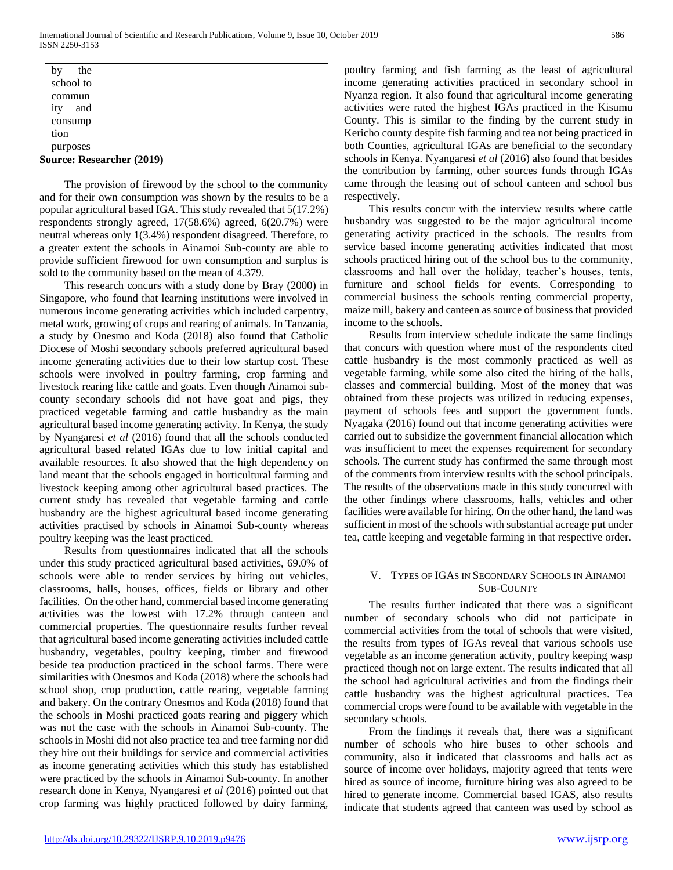| <b>Source: Researcher (2019)</b> |  |
|----------------------------------|--|
| purposes                         |  |
| tion                             |  |
| consump                          |  |
| and<br>ity                       |  |
| commun                           |  |
| school to                        |  |
| the<br>by                        |  |

 The provision of firewood by the school to the community and for their own consumption was shown by the results to be a popular agricultural based IGA. This study revealed that 5(17.2%) respondents strongly agreed, 17(58.6%) agreed, 6(20.7%) were neutral whereas only 1(3.4%) respondent disagreed. Therefore, to a greater extent the schools in Ainamoi Sub-county are able to provide sufficient firewood for own consumption and surplus is sold to the community based on the mean of 4.379.

 This research concurs with a study done by Bray (2000) in Singapore, who found that learning institutions were involved in numerous income generating activities which included carpentry, metal work, growing of crops and rearing of animals. In Tanzania, a study by Onesmo and Koda (2018) also found that Catholic Diocese of Moshi secondary schools preferred agricultural based income generating activities due to their low startup cost. These schools were involved in poultry farming, crop farming and livestock rearing like cattle and goats. Even though Ainamoi subcounty secondary schools did not have goat and pigs, they practiced vegetable farming and cattle husbandry as the main agricultural based income generating activity. In Kenya, the study by Nyangaresi *et al* (2016) found that all the schools conducted agricultural based related IGAs due to low initial capital and available resources. It also showed that the high dependency on land meant that the schools engaged in horticultural farming and livestock keeping among other agricultural based practices. The current study has revealed that vegetable farming and cattle husbandry are the highest agricultural based income generating activities practised by schools in Ainamoi Sub-county whereas poultry keeping was the least practiced.

 Results from questionnaires indicated that all the schools under this study practiced agricultural based activities, 69.0% of schools were able to render services by hiring out vehicles, classrooms, halls, houses, offices, fields or library and other facilities. On the other hand, commercial based income generating activities was the lowest with 17.2% through canteen and commercial properties. The questionnaire results further reveal that agricultural based income generating activities included cattle husbandry, vegetables, poultry keeping, timber and firewood beside tea production practiced in the school farms. There were similarities with Onesmos and Koda (2018) where the schools had school shop, crop production, cattle rearing, vegetable farming and bakery. On the contrary Onesmos and Koda (2018) found that the schools in Moshi practiced goats rearing and piggery which was not the case with the schools in Ainamoi Sub-county. The schools in Moshi did not also practice tea and tree farming nor did they hire out their buildings for service and commercial activities as income generating activities which this study has established were practiced by the schools in Ainamoi Sub-county. In another research done in Kenya, Nyangaresi *et al* (2016) pointed out that crop farming was highly practiced followed by dairy farming,

poultry farming and fish farming as the least of agricultural income generating activities practiced in secondary school in Nyanza region. It also found that agricultural income generating activities were rated the highest IGAs practiced in the Kisumu County. This is similar to the finding by the current study in Kericho county despite fish farming and tea not being practiced in both Counties, agricultural IGAs are beneficial to the secondary schools in Kenya. Nyangaresi *et al* (2016) also found that besides the contribution by farming, other sources funds through IGAs came through the leasing out of school canteen and school bus respectively.

 This results concur with the interview results where cattle husbandry was suggested to be the major agricultural income generating activity practiced in the schools. The results from service based income generating activities indicated that most schools practiced hiring out of the school bus to the community, classrooms and hall over the holiday, teacher's houses, tents, furniture and school fields for events. Corresponding to commercial business the schools renting commercial property, maize mill, bakery and canteen as source of business that provided income to the schools.

 Results from interview schedule indicate the same findings that concurs with question where most of the respondents cited cattle husbandry is the most commonly practiced as well as vegetable farming, while some also cited the hiring of the halls, classes and commercial building. Most of the money that was obtained from these projects was utilized in reducing expenses, payment of schools fees and support the government funds. Nyagaka (2016) found out that income generating activities were carried out to subsidize the government financial allocation which was insufficient to meet the expenses requirement for secondary schools. The current study has confirmed the same through most of the comments from interview results with the school principals. The results of the observations made in this study concurred with the other findings where classrooms, halls, vehicles and other facilities were available for hiring. On the other hand, the land was sufficient in most of the schools with substantial acreage put under tea, cattle keeping and vegetable farming in that respective order.

#### V. TYPES OF IGAS IN SECONDARY SCHOOLS IN AINAMOI SUB-COUNTY

 The results further indicated that there was a significant number of secondary schools who did not participate in commercial activities from the total of schools that were visited, the results from types of IGAs reveal that various schools use vegetable as an income generation activity, poultry keeping wasp practiced though not on large extent. The results indicated that all the school had agricultural activities and from the findings their cattle husbandry was the highest agricultural practices. Tea commercial crops were found to be available with vegetable in the secondary schools.

 From the findings it reveals that, there was a significant number of schools who hire buses to other schools and community, also it indicated that classrooms and halls act as source of income over holidays, majority agreed that tents were hired as source of income, furniture hiring was also agreed to be hired to generate income. Commercial based IGAS, also results indicate that students agreed that canteen was used by school as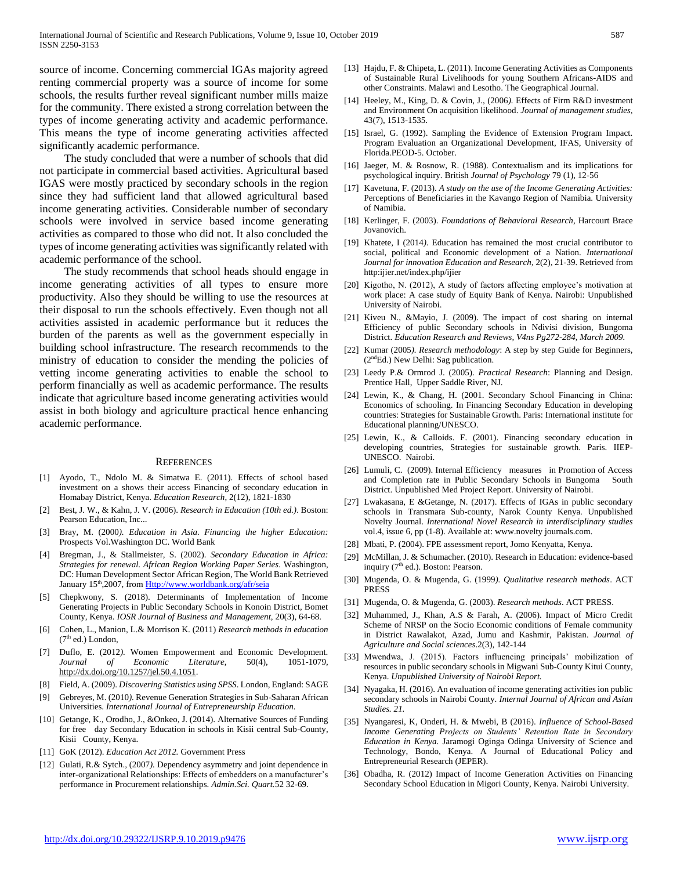source of income. Concerning commercial IGAs majority agreed renting commercial property was a source of income for some schools, the results further reveal significant number mills maize for the community. There existed a strong correlation between the types of income generating activity and academic performance. This means the type of income generating activities affected significantly academic performance.

 The study concluded that were a number of schools that did not participate in commercial based activities. Agricultural based IGAS were mostly practiced by secondary schools in the region since they had sufficient land that allowed agricultural based income generating activities. Considerable number of secondary schools were involved in service based income generating activities as compared to those who did not. It also concluded the types of income generating activities was significantly related with academic performance of the school.

 The study recommends that school heads should engage in income generating activities of all types to ensure more productivity. Also they should be willing to use the resources at their disposal to run the schools effectively. Even though not all activities assisted in academic performance but it reduces the burden of the parents as well as the government especially in building school infrastructure. The research recommends to the ministry of education to consider the mending the policies of vetting income generating activities to enable the school to perform financially as well as academic performance. The results indicate that agriculture based income generating activities would assist in both biology and agriculture practical hence enhancing academic performance.

#### **REFERENCES**

- [1] Ayodo, T., Ndolo M. & Simatwa E. (2011). Effects of school based investment on a shows their access Financing of secondary education in Homabay District, Kenya. *Education Research*, 2(12), 1821-1830
- [2] Best, J. W., & Kahn, J. V. (2006). *Research in Education (10th ed.)*. Boston: Pearson Education, Inc...
- [3] Bray, M. (2000*). Education in Asia. Financing the higher Education:* Prospects Vol.Washington DC. World Bank
- [4] Bregman, J., & Stallmeister, S. (2002). *Secondary Education in Africa: Strategies for renewal. African Region Working Paper Series*. Washington, DC: Human Development Sector African Region, The World Bank Retrieved January 15<sup>th</sup>,2007, from *Http://www.worldbank.org/afr/seia*
- [5] Chepkwony, S. (2018). Determinants of Implementation of Income Generating Projects in Public Secondary Schools in Konoin District, Bomet County, Kenya. *IOSR Journal of Business and Management,* 20(3), 64-68.
- [6] Cohen, L., Manion, L.& Morrison K. (2011) *Research methods in education*  $(7<sup>th</sup>$  ed.) London,
- [7] Duflo, E. (2012*).* Women Empowerment and Economic Development. *Journal of Economic Literature*, 50(4), 1051-1079, [http://dx.doi.org/10.1257/jel.50.4.1051.](http://dx.doi.org/10.1257/jel.50.4.1051)
- [8] Field, A. (2009). *Discovering Statistics using SPSS*. London, England: SAGE
- [9] Gebreyes, M. (2010*).* Revenue Generation Strategies in Sub-Saharan African Universities. *International Journal of Entrepreneurship Education.*
- [10] Getange, K., Orodho, J., &Onkeo, J. (2014). Alternative Sources of Funding for free day Secondary Education in schools in Kisii central Sub-County, Kisii County, Kenya.
- [11] GoK (2012). *Education Act 2012.* Government Press
- [12] Gulati, R.& Sytch., (2007*).* Dependency asymmetry and joint dependence in inter-organizational Relationships: Effects of embedders on a manufacturer's performance in Procurement relationships. *Admin.Sci. Quart.*52 32-69.
- [13] Hajdu, F. & Chipeta, L. (2011). Income Generating Activities as Components of Sustainable Rural Livelihoods for young Southern Africans-AIDS and other Constraints. Malawi and Lesotho. The Geographical Journal.
- [14] Heeley, M., King, D. & Covin, J., (2006*).* Effects of Firm R&D investment and Environment On acquisition likelihood. *Journal of management studies,*  43(7), 1513-1535.
- [15] Israel, G. (1992). Sampling the Evidence of Extension Program Impact. Program Evaluation an Organizational Development, IFAS, University of Florida.PEOD-5. October.
- [16] Jaeger, M. & Rosnow, R. (1988). Contextualism and its implications for psychological inquiry. British *Journal of Psychology* 79 (1), 12-56
- [17] Kavetuna, F. (2013). *A study on the use of the Income Generating Activities:*  Perceptions of Beneficiaries in the Kavango Region of Namibia. University of Namibia.
- [18] Kerlinger, F. (2003). *Foundations of Behavioral Research*, Harcourt Brace Jovanovich.
- [19] Khatete, I (2014*).* Education has remained the most crucial contributor to social, political and Economic development of a Nation. *International Journal for innovation Education and Research,* 2(2), 21-39. Retrieved from http:ijier.net/index.php/ijier
- [20] Kigotho, N. (2012), A study of factors affecting employee's motivation at work place: A case study of Equity Bank of Kenya. Nairobi: Unpublished University of Nairobi.
- [21] Kiveu N., &Mayio, J. (2009). The impact of cost sharing on internal Efficiency of public Secondary schools in Ndivisi division, Bungoma District. *Education Research and Reviews, V4ns Pg272-284, March 2009.*
- [22] Kumar (2005*). Research methodology*: A step by step Guide for Beginners,  $(2<sup>nd</sup>Ed.)$  New Delhi: Sag publication.
- [23] Leedy P.& Ormrod J. (2005). *Practical Research*: Planning and Design. Prentice Hall, Upper Saddle River, NJ.
- [24] Lewin, K., & Chang, H. (2001. Secondary School Financing in China: Economics of schooling. In Financing Secondary Education in developing countries: Strategies for Sustainable Growth. Paris: International institute for Educational planning/UNESCO.
- [25] Lewin, K., & Calloids. F. (2001). Financing secondary education in developing countries, Strategies for sustainable growth. Paris. IIEP-UNESCO. Nairobi.
- [26] Lumuli, C. (2009). Internal Efficiency measures in Promotion of Access and Completion rate in Public Secondary Schools in Bungoma South District. Unpublished Med Project Report. University of Nairobi.
- [27] Lwakasana, E &Getange, N. (2017). Effects of IGAs in public secondary schools in Transmara Sub-county, Narok County Kenya. Unpublished Novelty Journal. *International Novel Research in interdisciplinary studies*  vol.4, issue 6, pp (1-8). Available at: www.novelty journals.com.
- [28] Mbati, P. (2004). FPE assessment report, Jomo Kenyatta, Kenya.
- [29] McMillan, J. & Schumacher. (2010). Research in Education: evidence-based inquiry  $(7<sup>th</sup>$  ed.). Boston: Pearson.
- [30] Mugenda, O. & Mugenda, G. (1999*). Qualitative research methods*. ACT PRESS
- [31] Mugenda, O. & Mugenda, G. (2003). *Research methods*. ACT PRESS.
- [32] Muhammed, J., Khan, A.S & Farah, A. (2006). Impact of Micro Credit Scheme of NRSP on the Socio Economic conditions of Female community in District Rawalakot, Azad, Jumu and Kashmir, Pakistan. *Journa*l *of Agriculture and Social sciences*.2(3), 142-144
- [33] Mwendwa, J. (2015). Factors influencing principals' mobilization of resources in public secondary schools in Migwani Sub-County Kitui County, Kenya. *Unpublished University of Nairobi Report.*
- [34] Nyagaka, H. (2016). An evaluation of income generating activities ion public secondary schools in Nairobi County. *Internal Journal of African and Asian Studies. 21.*
- [35] Nyangaresi, K, Onderi, H. & Mwebi, B (2016). *Influence of School-Based Income Generating Projects on Students' Retention Rate in Secondary Education in Kenya.* Jaramogi Oginga Odinga University of Science and Technology, Bondo, Kenya. A Journal of Educational Policy and Entrepreneurial Research (JEPER).
- [36] Obadha, R. (2012) Impact of Income Generation Activities on Financing Secondary School Education in Migori County, Kenya. Nairobi University.